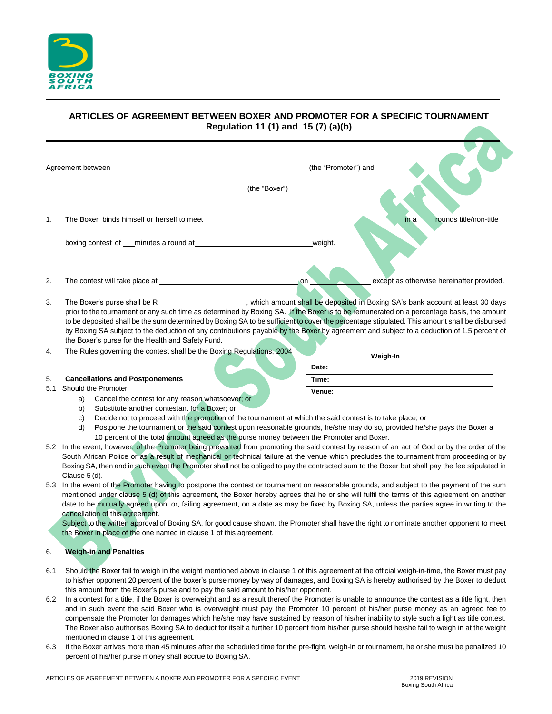

# **ARTICLES OF AGREEMENT BETWEEN BOXER AND PROMOTER FOR A SPECIFIC TOURNAMENT Regulation 11 (1) and 15 (7) (a)(b)**

|     | Agreement between experience and the contract of the contract of the contract of the contract of the contract of the contract of the contract of the contract of the contract of the contract of the contract of the contract                                                                                                                                                                                                                                                                                                                                                                                                  |               | (the "Promoter") and |                                           |  |  |  |
|-----|--------------------------------------------------------------------------------------------------------------------------------------------------------------------------------------------------------------------------------------------------------------------------------------------------------------------------------------------------------------------------------------------------------------------------------------------------------------------------------------------------------------------------------------------------------------------------------------------------------------------------------|---------------|----------------------|-------------------------------------------|--|--|--|
|     |                                                                                                                                                                                                                                                                                                                                                                                                                                                                                                                                                                                                                                | (the "Boxer") |                      |                                           |  |  |  |
| 1.  |                                                                                                                                                                                                                                                                                                                                                                                                                                                                                                                                                                                                                                |               |                      | rounds title/non-title<br>in a            |  |  |  |
|     |                                                                                                                                                                                                                                                                                                                                                                                                                                                                                                                                                                                                                                | weight.       |                      |                                           |  |  |  |
| 2.  | The contest will take place at the context of the context will take place at                                                                                                                                                                                                                                                                                                                                                                                                                                                                                                                                                   | on            |                      | except as otherwise hereinafter provided. |  |  |  |
| 3.  | The Boxer's purse shall be R _____________________, which amount shall be deposited in Boxing SA's bank account at least 30 days<br>prior to the tournament or any such time as determined by Boxing SA. If the Boxer is to be remunerated on a percentage basis, the amount<br>to be deposited shall be the sum determined by Boxing SA to be sufficient to cover the percentage stipulated. This amount shall be disbursed<br>by Boxing SA subject to the deduction of any contributions payable by the Boxer by agreement and subject to a deduction of 1.5 percent of<br>the Boxer's purse for the Health and Safety Fund. |               |                      |                                           |  |  |  |
| 4.  | The Rules governing the contest shall be the Boxing Regulations, 2004                                                                                                                                                                                                                                                                                                                                                                                                                                                                                                                                                          |               | Weigh-In             |                                           |  |  |  |
|     |                                                                                                                                                                                                                                                                                                                                                                                                                                                                                                                                                                                                                                | Date:         |                      |                                           |  |  |  |
| 5.  | <b>Cancellations and Postponements</b>                                                                                                                                                                                                                                                                                                                                                                                                                                                                                                                                                                                         | Time:         |                      |                                           |  |  |  |
| 5.1 | Should the Promoter:<br>Cancel the contest for any reason whatsoever; or<br>a)                                                                                                                                                                                                                                                                                                                                                                                                                                                                                                                                                 | Venue:        |                      |                                           |  |  |  |
|     | Substitute another contestant for a Boxer: or<br>b)                                                                                                                                                                                                                                                                                                                                                                                                                                                                                                                                                                            |               |                      |                                           |  |  |  |
|     | Decide not to proceed with the promotion of the tournament at which the said contest is to take place; or<br>C)                                                                                                                                                                                                                                                                                                                                                                                                                                                                                                                |               |                      |                                           |  |  |  |
|     | Postpone the tournament or the said contest upon reasonable grounds, he/she may do so, provided he/she pays the Boxer a<br>d)                                                                                                                                                                                                                                                                                                                                                                                                                                                                                                  |               |                      |                                           |  |  |  |
|     | 10 percent of the total amount agreed as the purse money between the Promoter and Boxer.                                                                                                                                                                                                                                                                                                                                                                                                                                                                                                                                       |               |                      |                                           |  |  |  |
|     | 5.2 In the event, however, of the Promoter being prevented from promoting the said contest by reason of an act of God or by the order of the<br>South African Police or as a result of mechanical or technical failure at the venue which precludes the tournament from proceeding or by                                                                                                                                                                                                                                                                                                                                       |               |                      |                                           |  |  |  |
|     | Boxing SA, then and in such event the Promoter shall not be obliged to pay the contracted sum to the Boxer but shall pay the fee stipulated in                                                                                                                                                                                                                                                                                                                                                                                                                                                                                 |               |                      |                                           |  |  |  |
|     | Clause 5 (d).                                                                                                                                                                                                                                                                                                                                                                                                                                                                                                                                                                                                                  |               |                      |                                           |  |  |  |

5.3 In the event of the Promoter having to postpone the contest or tournament on reasonable grounds, and subject to the payment of the sum mentioned under clause 5 (d) of this agreement, the Boxer hereby agrees that he or she will fulfil the terms of this agreement on another date to be mutually agreed upon, or, failing agreement, on a date as may be fixed by Boxing SA, unless the parties agree in writing to the cancellation of this agreement.

Subject to the written approval of Boxing SA, for good cause shown, the Promoter shall have the right to nominate another opponent to meet the Boxer in place of the one named in clause 1 of this agreement.

# 6. **Weigh-in and Penalties**

- 6.1 Should the Boxer fail to weigh in the weight mentioned above in clause 1 of this agreement at the official weigh-in-time, the Boxer must pay to his/her opponent 20 percent of the boxer's purse money by way of damages, and Boxing SA is hereby authorised by the Boxer to deduct this amount from the Boxer's purse and to pay the said amount to his/her opponent.
- 6.2 In a contest for a title, if the Boxer is overweight and as a result thereof the Promoter is unable to announce the contest as a title fight, then and in such event the said Boxer who is overweight must pay the Promoter 10 percent of his/her purse money as an agreed fee to compensate the Promoter for damages which he/she may have sustained by reason of his/her inability to style such a fight as title contest. The Boxer also authorises Boxing SA to deduct for itself a further 10 percent from his/her purse should he/she fail to weigh in at the weight mentioned in clause 1 of this agreement.
- 6.3 If the Boxer arrives more than 45 minutes after the scheduled time for the pre-fight, weigh-in or tournament, he or she must be penalized 10 percent of his/her purse money shall accrue to Boxing SA.